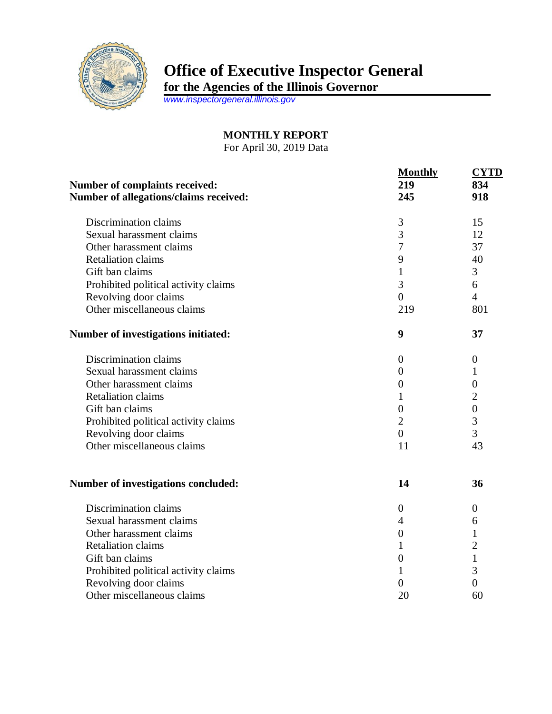

## **Office of Executive Inspector General**

**for the Agencies of the Illinois Governor**

*[www.inspectorgeneral.illinois.gov](http://www.inspectorgeneral.illinois.gov/)*

## **MONTHLY REPORT**

For April 30, 2019 Data

| <b>Number of complaints received:</b><br>Number of allegations/claims received: | <b>Monthly</b><br>219<br>245 | <b>CYTD</b><br>834<br>918 |
|---------------------------------------------------------------------------------|------------------------------|---------------------------|
| Discrimination claims                                                           | 3                            | 15                        |
| Sexual harassment claims                                                        | 3                            | 12                        |
| Other harassment claims                                                         | $\overline{7}$               | 37                        |
| <b>Retaliation claims</b>                                                       | 9                            | 40                        |
| Gift ban claims                                                                 | $\mathbf{1}$                 | 3                         |
| Prohibited political activity claims                                            | 3                            | 6                         |
| Revolving door claims                                                           | $\overline{0}$               | $\overline{4}$            |
| Other miscellaneous claims                                                      | 219                          | 801                       |
| Number of investigations initiated:                                             | 9                            | 37                        |
| Discrimination claims                                                           | $\boldsymbol{0}$             | $\overline{0}$            |
| Sexual harassment claims                                                        | $\boldsymbol{0}$             | 1                         |
| Other harassment claims                                                         | $\boldsymbol{0}$             | $\overline{0}$            |
| <b>Retaliation claims</b>                                                       | 1                            | $\overline{2}$            |
| Gift ban claims                                                                 | $\overline{0}$               | $\boldsymbol{0}$          |
| Prohibited political activity claims                                            | $\overline{2}$               | 3                         |
| Revolving door claims                                                           | $\overline{0}$               | 3                         |
| Other miscellaneous claims                                                      | 11                           | 43                        |
|                                                                                 | 14                           | 36                        |
| <b>Number of investigations concluded:</b>                                      |                              |                           |
| Discrimination claims                                                           | $\boldsymbol{0}$             | $\boldsymbol{0}$          |
| Sexual harassment claims                                                        | $\overline{4}$               | 6                         |
| Other harassment claims                                                         | $\boldsymbol{0}$             | 1                         |
| <b>Retaliation claims</b>                                                       | $\mathbf{1}$                 | $\overline{2}$            |
| Gift ban claims                                                                 | $\boldsymbol{0}$             | 1                         |
| Prohibited political activity claims                                            | 1                            | 3                         |
| Revolving door claims                                                           | $\overline{0}$               | $\overline{0}$            |
| Other miscellaneous claims                                                      | 20                           | 60                        |